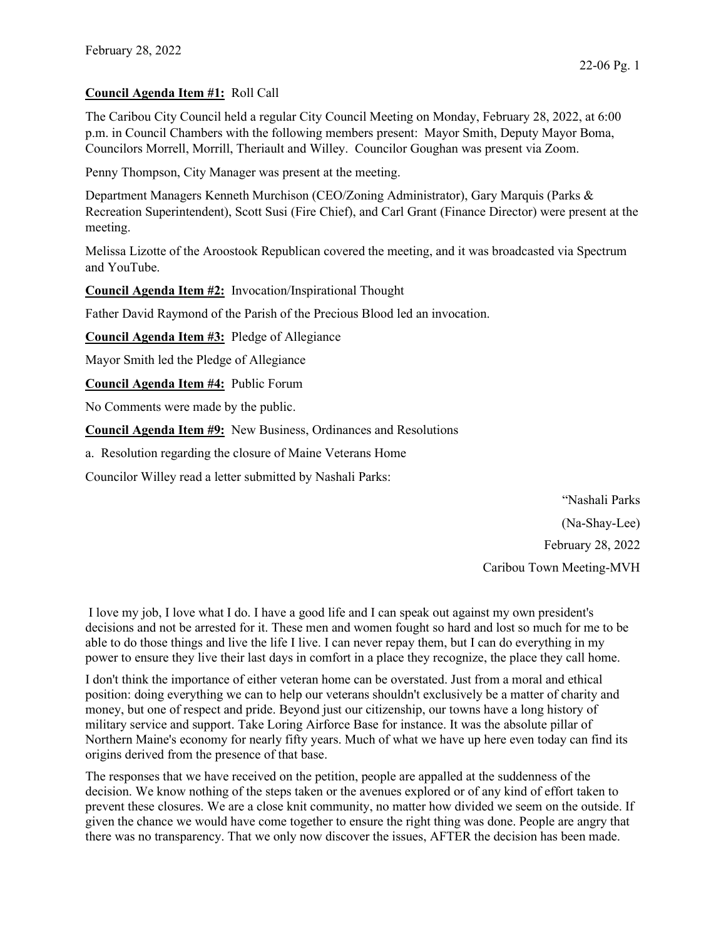## **Council Agenda Item #1:** Roll Call

The Caribou City Council held a regular City Council Meeting on Monday, February 28, 2022, at 6:00 p.m. in Council Chambers with the following members present: Mayor Smith, Deputy Mayor Boma, Councilors Morrell, Morrill, Theriault and Willey. Councilor Goughan was present via Zoom.

Penny Thompson, City Manager was present at the meeting.

Department Managers Kenneth Murchison (CEO/Zoning Administrator), Gary Marquis (Parks & Recreation Superintendent), Scott Susi (Fire Chief), and Carl Grant (Finance Director) were present at the meeting.

Melissa Lizotte of the Aroostook Republican covered the meeting, and it was broadcasted via Spectrum and YouTube.

**Council Agenda Item #2:** Invocation/Inspirational Thought

Father David Raymond of the Parish of the Precious Blood led an invocation.

**Council Agenda Item #3:** Pledge of Allegiance

Mayor Smith led the Pledge of Allegiance

**Council Agenda Item #4:** Public Forum

No Comments were made by the public.

**Council Agenda Item #9:** New Business, Ordinances and Resolutions

a. Resolution regarding the closure of Maine Veterans Home

Councilor Willey read a letter submitted by Nashali Parks:

"Nashali Parks (Na-Shay-Lee) February 28, 2022 Caribou Town Meeting-MVH

 I love my job, I love what I do. I have a good life and I can speak out against my own president's decisions and not be arrested for it. These men and women fought so hard and lost so much for me to be able to do those things and live the life I live. I can never repay them, but I can do everything in my power to ensure they live their last days in comfort in a place they recognize, the place they call home.

I don't think the importance of either veteran home can be overstated. Just from a moral and ethical position: doing everything we can to help our veterans shouldn't exclusively be a matter of charity and money, but one of respect and pride. Beyond just our citizenship, our towns have a long history of military service and support. Take Loring Airforce Base for instance. It was the absolute pillar of Northern Maine's economy for nearly fifty years. Much of what we have up here even today can find its origins derived from the presence of that base.

The responses that we have received on the petition, people are appalled at the suddenness of the decision. We know nothing of the steps taken or the avenues explored or of any kind of effort taken to prevent these closures. We are a close knit community, no matter how divided we seem on the outside. If given the chance we would have come together to ensure the right thing was done. People are angry that there was no transparency. That we only now discover the issues, AFTER the decision has been made.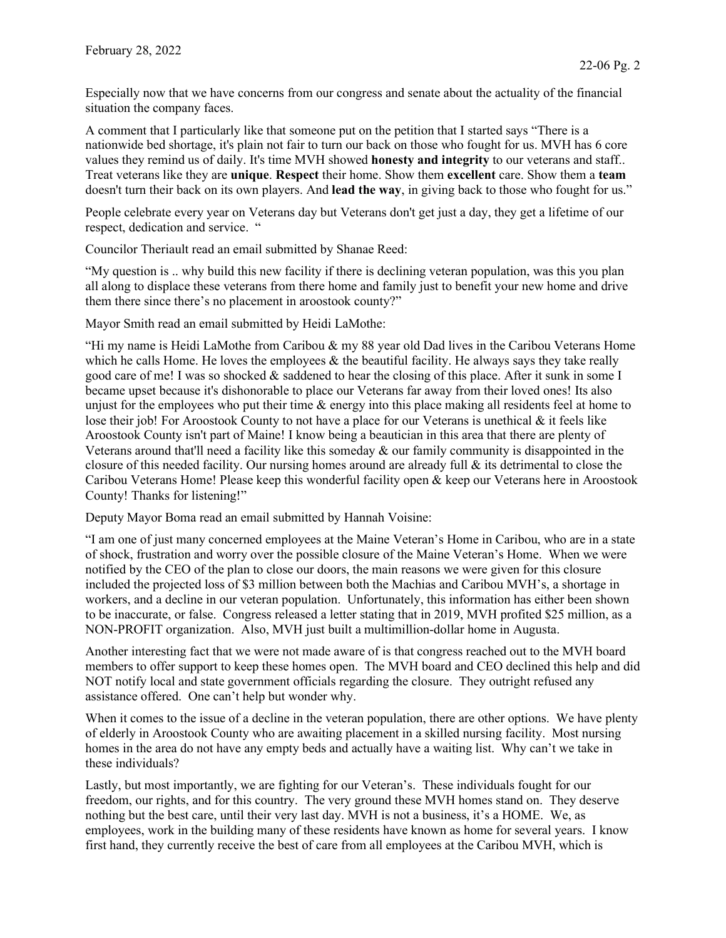Especially now that we have concerns from our congress and senate about the actuality of the financial situation the company faces.

A comment that I particularly like that someone put on the petition that I started says "There is a nationwide bed shortage, it's plain not fair to turn our back on those who fought for us. MVH has 6 core values they remind us of daily. It's time MVH showed **honesty and integrity** to our veterans and staff.. Treat veterans like they are **unique**. **Respect** their home. Show them **excellent** care. Show them a **team**  doesn't turn their back on its own players. And **lead the way**, in giving back to those who fought for us."

People celebrate every year on Veterans day but Veterans don't get just a day, they get a lifetime of our respect, dedication and service. "

Councilor Theriault read an email submitted by Shanae Reed:

"My question is .. why build this new facility if there is declining veteran population, was this you plan all along to displace these veterans from there home and family just to benefit your new home and drive them there since there's no placement in aroostook county?"

Mayor Smith read an email submitted by Heidi LaMothe:

"Hi my name is Heidi LaMothe from Caribou & my 88 year old Dad lives in the Caribou Veterans Home which he calls Home. He loves the employees  $\&$  the beautiful facility. He always says they take really good care of me! I was so shocked & saddened to hear the closing of this place. After it sunk in some I became upset because it's dishonorable to place our Veterans far away from their loved ones! Its also unjust for the employees who put their time  $\&$  energy into this place making all residents feel at home to lose their job! For Aroostook County to not have a place for our Veterans is unethical & it feels like Aroostook County isn't part of Maine! I know being a beautician in this area that there are plenty of Veterans around that'll need a facility like this someday  $\&$  our family community is disappointed in the closure of this needed facility. Our nursing homes around are already full & its detrimental to close the Caribou Veterans Home! Please keep this wonderful facility open & keep our Veterans here in Aroostook County! Thanks for listening!"

Deputy Mayor Boma read an email submitted by Hannah Voisine:

"I am one of just many concerned employees at the Maine Veteran's Home in Caribou, who are in a state of shock, frustration and worry over the possible closure of the Maine Veteran's Home. When we were notified by the CEO of the plan to close our doors, the main reasons we were given for this closure included the projected loss of \$3 million between both the Machias and Caribou MVH's, a shortage in workers, and a decline in our veteran population. Unfortunately, this information has either been shown to be inaccurate, or false. Congress released a letter stating that in 2019, MVH profited \$25 million, as a NON-PROFIT organization. Also, MVH just built a multimillion-dollar home in Augusta.

Another interesting fact that we were not made aware of is that congress reached out to the MVH board members to offer support to keep these homes open. The MVH board and CEO declined this help and did NOT notify local and state government officials regarding the closure. They outright refused any assistance offered. One can't help but wonder why.

When it comes to the issue of a decline in the veteran population, there are other options. We have plenty of elderly in Aroostook County who are awaiting placement in a skilled nursing facility. Most nursing homes in the area do not have any empty beds and actually have a waiting list. Why can't we take in these individuals?

Lastly, but most importantly, we are fighting for our Veteran's. These individuals fought for our freedom, our rights, and for this country. The very ground these MVH homes stand on. They deserve nothing but the best care, until their very last day. MVH is not a business, it's a HOME. We, as employees, work in the building many of these residents have known as home for several years. I know first hand, they currently receive the best of care from all employees at the Caribou MVH, which is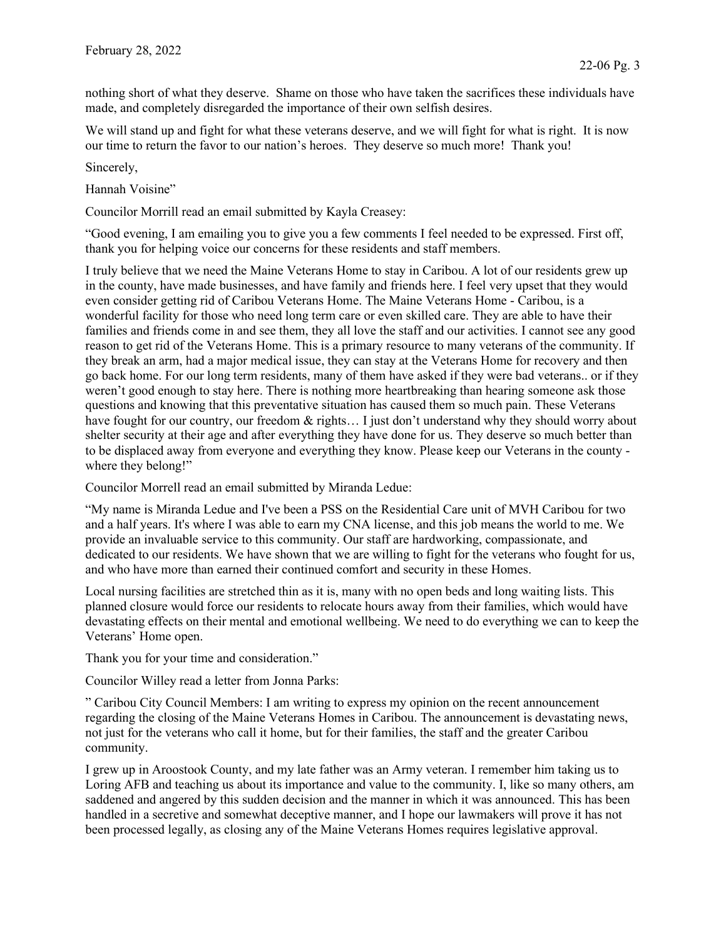nothing short of what they deserve. Shame on those who have taken the sacrifices these individuals have made, and completely disregarded the importance of their own selfish desires.

We will stand up and fight for what these veterans deserve, and we will fight for what is right. It is now our time to return the favor to our nation's heroes. They deserve so much more! Thank you!

Sincerely,

Hannah Voisine"

Councilor Morrill read an email submitted by Kayla Creasey:

"Good evening, I am emailing you to give you a few comments I feel needed to be expressed. First off, thank you for helping voice our concerns for these residents and staff members.

I truly believe that we need the Maine Veterans Home to stay in Caribou. A lot of our residents grew up in the county, have made businesses, and have family and friends here. I feel very upset that they would even consider getting rid of Caribou Veterans Home. The Maine Veterans Home - Caribou, is a wonderful facility for those who need long term care or even skilled care. They are able to have their families and friends come in and see them, they all love the staff and our activities. I cannot see any good reason to get rid of the Veterans Home. This is a primary resource to many veterans of the community. If they break an arm, had a major medical issue, they can stay at the Veterans Home for recovery and then go back home. For our long term residents, many of them have asked if they were bad veterans.. or if they weren't good enough to stay here. There is nothing more heartbreaking than hearing someone ask those questions and knowing that this preventative situation has caused them so much pain. These Veterans have fought for our country, our freedom & rights... I just don't understand why they should worry about shelter security at their age and after everything they have done for us. They deserve so much better than to be displaced away from everyone and everything they know. Please keep our Veterans in the county where they belong!"

Councilor Morrell read an email submitted by Miranda Ledue:

"My name is Miranda Ledue and I've been a PSS on the Residential Care unit of MVH Caribou for two and a half years. It's where I was able to earn my CNA license, and this job means the world to me. We provide an invaluable service to this community. Our staff are hardworking, compassionate, and dedicated to our residents. We have shown that we are willing to fight for the veterans who fought for us, and who have more than earned their continued comfort and security in these Homes.

Local nursing facilities are stretched thin as it is, many with no open beds and long waiting lists. This planned closure would force our residents to relocate hours away from their families, which would have devastating effects on their mental and emotional wellbeing. We need to do everything we can to keep the Veterans' Home open.

Thank you for your time and consideration."

Councilor Willey read a letter from Jonna Parks:

" Caribou City Council Members: I am writing to express my opinion on the recent announcement regarding the closing of the Maine Veterans Homes in Caribou. The announcement is devastating news, not just for the veterans who call it home, but for their families, the staff and the greater Caribou community.

I grew up in Aroostook County, and my late father was an Army veteran. I remember him taking us to Loring AFB and teaching us about its importance and value to the community. I, like so many others, am saddened and angered by this sudden decision and the manner in which it was announced. This has been handled in a secretive and somewhat deceptive manner, and I hope our lawmakers will prove it has not been processed legally, as closing any of the Maine Veterans Homes requires legislative approval.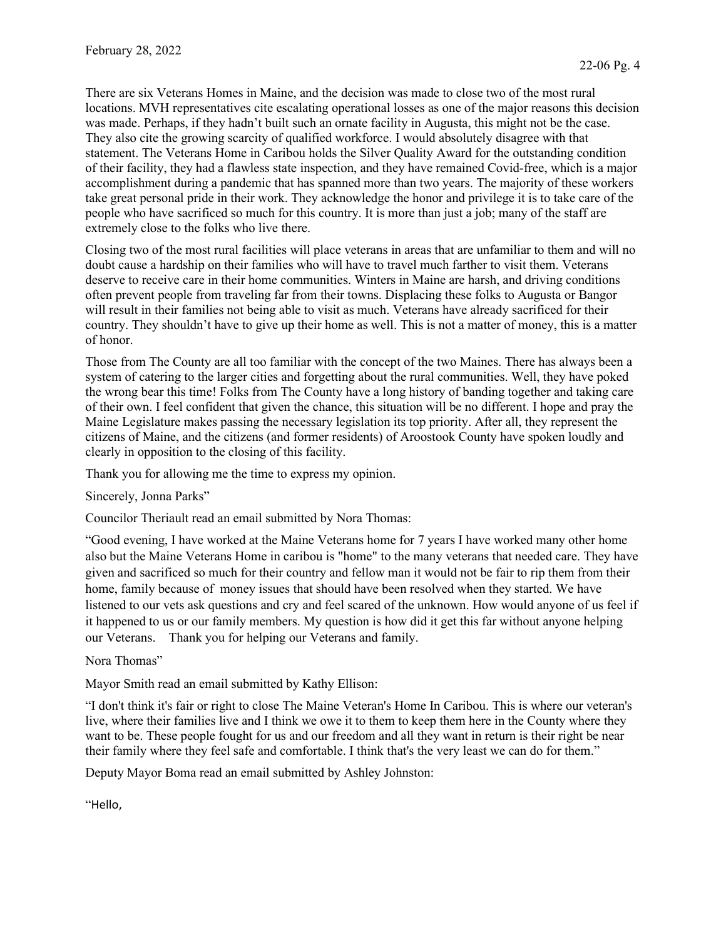There are six Veterans Homes in Maine, and the decision was made to close two of the most rural locations. MVH representatives cite escalating operational losses as one of the major reasons this decision was made. Perhaps, if they hadn't built such an ornate facility in Augusta, this might not be the case. They also cite the growing scarcity of qualified workforce. I would absolutely disagree with that statement. The Veterans Home in Caribou holds the Silver Quality Award for the outstanding condition of their facility, they had a flawless state inspection, and they have remained Covid-free, which is a major accomplishment during a pandemic that has spanned more than two years. The majority of these workers take great personal pride in their work. They acknowledge the honor and privilege it is to take care of the people who have sacrificed so much for this country. It is more than just a job; many of the staff are extremely close to the folks who live there.

Closing two of the most rural facilities will place veterans in areas that are unfamiliar to them and will no doubt cause a hardship on their families who will have to travel much farther to visit them. Veterans deserve to receive care in their home communities. Winters in Maine are harsh, and driving conditions often prevent people from traveling far from their towns. Displacing these folks to Augusta or Bangor will result in their families not being able to visit as much. Veterans have already sacrificed for their country. They shouldn't have to give up their home as well. This is not a matter of money, this is a matter of honor.

Those from The County are all too familiar with the concept of the two Maines. There has always been a system of catering to the larger cities and forgetting about the rural communities. Well, they have poked the wrong bear this time! Folks from The County have a long history of banding together and taking care of their own. I feel confident that given the chance, this situation will be no different. I hope and pray the Maine Legislature makes passing the necessary legislation its top priority. After all, they represent the citizens of Maine, and the citizens (and former residents) of Aroostook County have spoken loudly and clearly in opposition to the closing of this facility.

Thank you for allowing me the time to express my opinion.

Sincerely, Jonna Parks"

Councilor Theriault read an email submitted by Nora Thomas:

"Good evening, I have worked at the Maine Veterans home for 7 years I have worked many other home also but the Maine Veterans Home in caribou is "home" to the many veterans that needed care. They have given and sacrificed so much for their country and fellow man it would not be fair to rip them from their home, family because of money issues that should have been resolved when they started. We have listened to our vets ask questions and cry and feel scared of the unknown. How would anyone of us feel if it happened to us or our family members. My question is how did it get this far without anyone helping our Veterans. Thank you for helping our Veterans and family.

Nora Thomas"

Mayor Smith read an email submitted by Kathy Ellison:

"I don't think it's fair or right to close The Maine Veteran's Home In Caribou. This is where our veteran's live, where their families live and I think we owe it to them to keep them here in the County where they want to be. These people fought for us and our freedom and all they want in return is their right be near their family where they feel safe and comfortable. I think that's the very least we can do for them."

Deputy Mayor Boma read an email submitted by Ashley Johnston:

"Hello,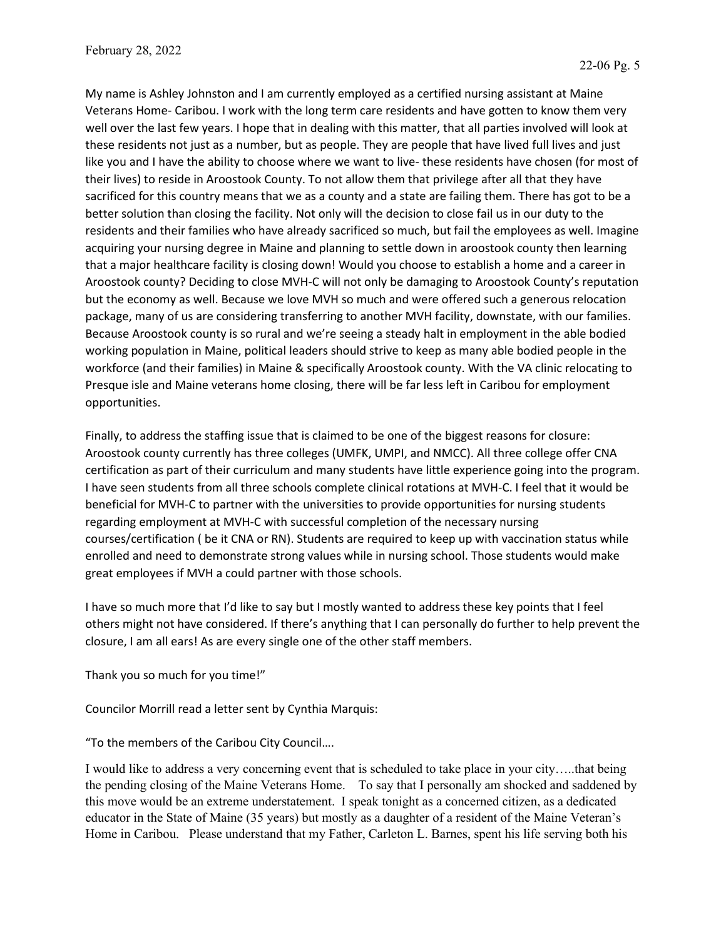My name is Ashley Johnston and I am currently employed as a certified nursing assistant at Maine Veterans Home- Caribou. I work with the long term care residents and have gotten to know them very well over the last few years. I hope that in dealing with this matter, that all parties involved will look at these residents not just as a number, but as people. They are people that have lived full lives and just like you and I have the ability to choose where we want to live- these residents have chosen (for most of their lives) to reside in Aroostook County. To not allow them that privilege after all that they have sacrificed for this country means that we as a county and a state are failing them. There has got to be a better solution than closing the facility. Not only will the decision to close fail us in our duty to the residents and their families who have already sacrificed so much, but fail the employees as well. Imagine acquiring your nursing degree in Maine and planning to settle down in aroostook county then learning that a major healthcare facility is closing down! Would you choose to establish a home and a career in Aroostook county? Deciding to close MVH-C will not only be damaging to Aroostook County's reputation but the economy as well. Because we love MVH so much and were offered such a generous relocation package, many of us are considering transferring to another MVH facility, downstate, with our families. Because Aroostook county is so rural and we're seeing a steady halt in employment in the able bodied working population in Maine, political leaders should strive to keep as many able bodied people in the workforce (and their families) in Maine & specifically Aroostook county. With the VA clinic relocating to Presque isle and Maine veterans home closing, there will be far less left in Caribou for employment opportunities.

Finally, to address the staffing issue that is claimed to be one of the biggest reasons for closure: Aroostook county currently has three colleges (UMFK, UMPI, and NMCC). All three college offer CNA certification as part of their curriculum and many students have little experience going into the program. I have seen students from all three schools complete clinical rotations at MVH-C. I feel that it would be beneficial for MVH-C to partner with the universities to provide opportunities for nursing students regarding employment at MVH-C with successful completion of the necessary nursing courses/certification ( be it CNA or RN). Students are required to keep up with vaccination status while enrolled and need to demonstrate strong values while in nursing school. Those students would make great employees if MVH a could partner with those schools.

I have so much more that I'd like to say but I mostly wanted to address these key points that I feel others might not have considered. If there's anything that I can personally do further to help prevent the closure, I am all ears! As are every single one of the other staff members.

Thank you so much for you time!"

Councilor Morrill read a letter sent by Cynthia Marquis:

"To the members of the Caribou City Council….

I would like to address a very concerning event that is scheduled to take place in your city…..that being the pending closing of the Maine Veterans Home. To say that I personally am shocked and saddened by this move would be an extreme understatement. I speak tonight as a concerned citizen, as a dedicated educator in the State of Maine (35 years) but mostly as a daughter of a resident of the Maine Veteran's Home in Caribou. Please understand that my Father, Carleton L. Barnes, spent his life serving both his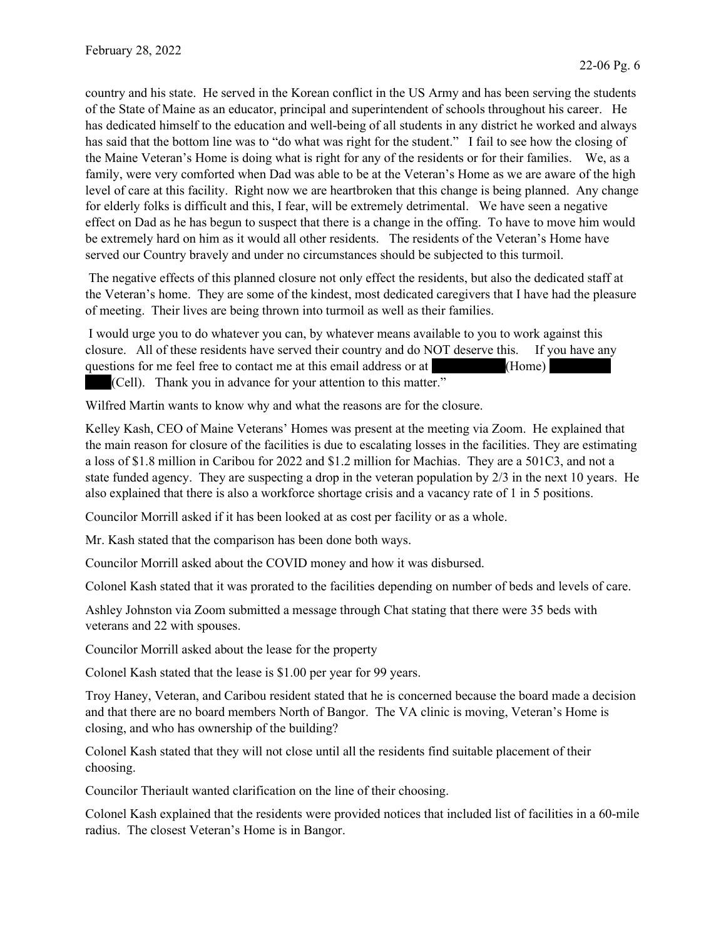country and his state. He served in the Korean conflict in the US Army and has been serving the students of the State of Maine as an educator, principal and superintendent of schools throughout his career. He has dedicated himself to the education and well-being of all students in any district he worked and always has said that the bottom line was to "do what was right for the student." I fail to see how the closing of the Maine Veteran's Home is doing what is right for any of the residents or for their families. We, as a family, were very comforted when Dad was able to be at the Veteran's Home as we are aware of the high level of care at this facility. Right now we are heartbroken that this change is being planned. Any change for elderly folks is difficult and this, I fear, will be extremely detrimental. We have seen a negative effect on Dad as he has begun to suspect that there is a change in the offing. To have to move him would be extremely hard on him as it would all other residents. The residents of the Veteran's Home have served our Country bravely and under no circumstances should be subjected to this turmoil.

The negative effects of this planned closure not only effect the residents, but also the dedicated staff at the Veteran's home. They are some of the kindest, most dedicated caregivers that I have had the pleasure of meeting. Their lives are being thrown into turmoil as well as their families.

 I would urge you to do whatever you can, by whatever means available to you to work against this closure. All of these residents have served their country and do NOT deserve this. If you have any questions for me feel free to contact me at this email address or at  $(Home)$ (Cell). Thank you in advance for your attention to this matter."

Wilfred Martin wants to know why and what the reasons are for the closure.

Kelley Kash, CEO of Maine Veterans' Homes was present at the meeting via Zoom. He explained that the main reason for closure of the facilities is due to escalating losses in the facilities. They are estimating a loss of \$1.8 million in Caribou for 2022 and \$1.2 million for Machias. They are a 501C3, and not a state funded agency. They are suspecting a drop in the veteran population by 2/3 in the next 10 years. He also explained that there is also a workforce shortage crisis and a vacancy rate of 1 in 5 positions.

Councilor Morrill asked if it has been looked at as cost per facility or as a whole.

Mr. Kash stated that the comparison has been done both ways.

Councilor Morrill asked about the COVID money and how it was disbursed.

Colonel Kash stated that it was prorated to the facilities depending on number of beds and levels of care.

Ashley Johnston via Zoom submitted a message through Chat stating that there were 35 beds with veterans and 22 with spouses.

Councilor Morrill asked about the lease for the property

Colonel Kash stated that the lease is \$1.00 per year for 99 years.

Troy Haney, Veteran, and Caribou resident stated that he is concerned because the board made a decision and that there are no board members North of Bangor. The VA clinic is moving, Veteran's Home is closing, and who has ownership of the building?

Colonel Kash stated that they will not close until all the residents find suitable placement of their choosing.

Councilor Theriault wanted clarification on the line of their choosing.

Colonel Kash explained that the residents were provided notices that included list of facilities in a 60-mile radius. The closest Veteran's Home is in Bangor.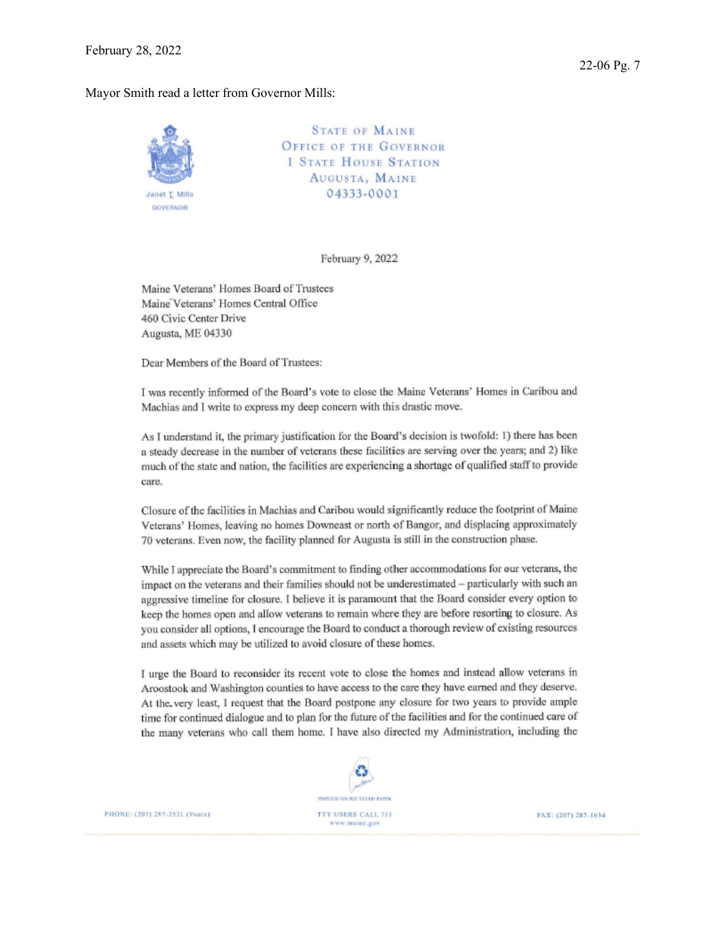#### Mayor Smith read a letter from Governor Mills:



February 9, 2022

Maine Veterans' Homes Board of Trustees Maine Veterans' Homes Central Office 460 Civic Center Drive Augusta, ME 04330

Dear Members of the Board of Trustees:

I was recently informed of the Board's vote to close the Maine Veterans' Homes in Caribou and Machias and I write to express my deep concern with this drastic move.

As I understand it, the primary justification for the Board's decision is twofold: 1) there has been a steady decrease in the number of veterans these facilities are serving over the years; and 2) like much of the state and nation, the facilities are experiencing a shortage of qualified staff to provide care.

Closure of the facilities in Machias and Caribou would significantly reduce the footprint of Maine Veterans' Homes, leaving no homes Downeast or north of Bangor, and displacing approximately 70 veterans. Even now, the facility planned for Augusta is still in the construction phase.

While I appreciate the Board's commitment to finding other accommodations for our veterans, the impact on the veterans and their families should not be underestimated - particularly with such an aggressive timeline for closure. I believe it is paramount that the Board consider every option to keep the homes open and allow veterans to remain where they are before resorting to closure. As you consider all options, I encourage the Board to conduct a thorough review of existing resources and assets which may be utilized to avoid closure of these homes.

I urge the Board to reconsider its recent vote to close the homes and instead allow veterans in Aroostook and Washington counties to have access to the care they have earned and they deserve. At the very least, I request that the Board postpone any closure for two years to provide ample time for continued dialogue and to plan for the future of the facilities and for the continued care of the many veterans who call them home. I have also directed my Administration, including the



PHONE: (207) 287-3531 (VOICE)

FAX: (207) 287-1034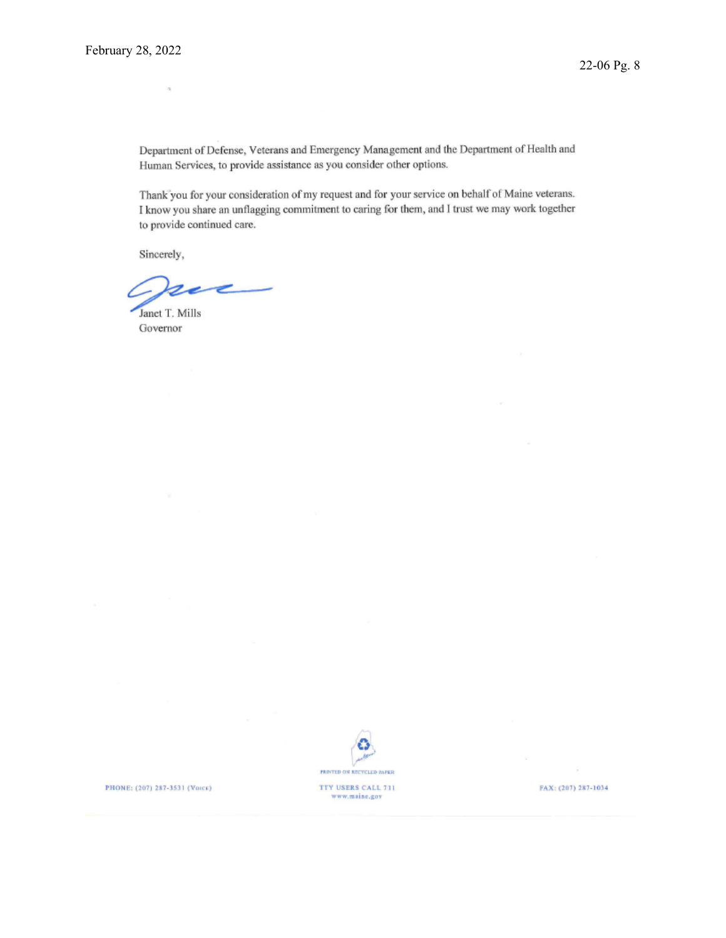Department of Defense, Veterans and Emergency Management and the Department of Health and Human Services, to provide assistance as you consider other options.

Thank you for your consideration of my request and for your service on behalf of Maine veterans. I know you share an unflagging commitment to caring for them, and I trust we may work together to provide continued care.

Sincerely,

 $\alpha$ 

Janet T. Mills Governor



www.maine.gov

PHONE: (207) 287-3531 (VOICE)

FAX: (207) 287-1034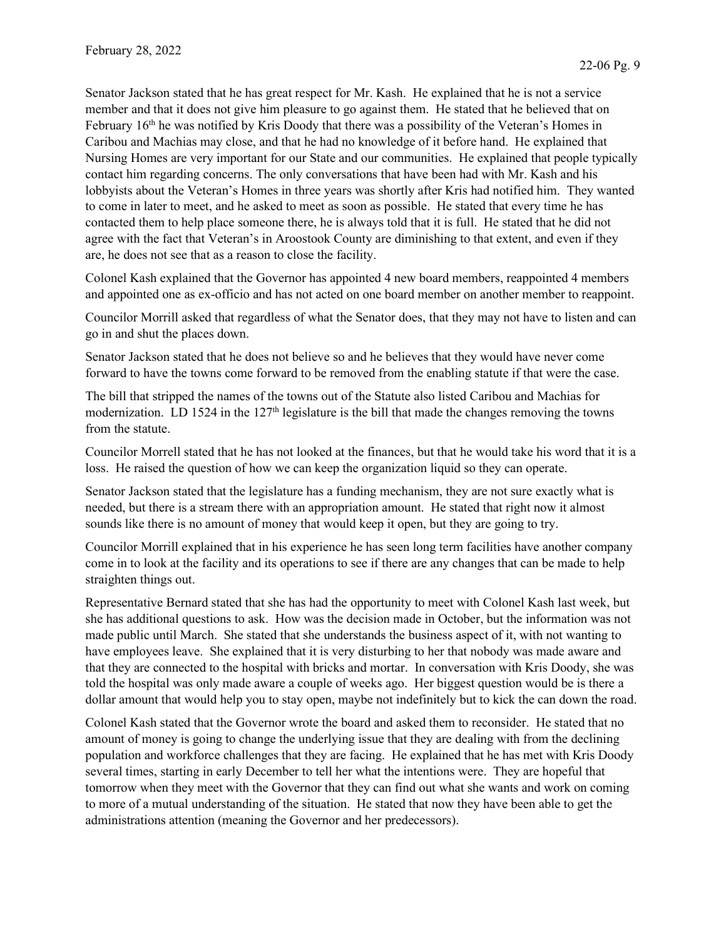Senator Jackson stated that he has great respect for Mr. Kash. He explained that he is not a service member and that it does not give him pleasure to go against them. He stated that he believed that on February  $16<sup>th</sup>$  he was notified by Kris Doody that there was a possibility of the Veteran's Homes in Caribou and Machias may close, and that he had no knowledge of it before hand. He explained that Nursing Homes are very important for our State and our communities. He explained that people typically contact him regarding concerns. The only conversations that have been had with Mr. Kash and his lobbyists about the Veteran's Homes in three years was shortly after Kris had notified him. They wanted to come in later to meet, and he asked to meet as soon as possible. He stated that every time he has contacted them to help place someone there, he is always told that it is full. He stated that he did not agree with the fact that Veteran's in Aroostook County are diminishing to that extent, and even if they are, he does not see that as a reason to close the facility.

Colonel Kash explained that the Governor has appointed 4 new board members, reappointed 4 members and appointed one as ex-officio and has not acted on one board member on another member to reappoint.

Councilor Morrill asked that regardless of what the Senator does, that they may not have to listen and can go in and shut the places down.

Senator Jackson stated that he does not believe so and he believes that they would have never come forward to have the towns come forward to be removed from the enabling statute if that were the case.

The bill that stripped the names of the towns out of the Statute also listed Caribou and Machias for modernization. LD 1524 in the  $127<sup>th</sup>$  legislature is the bill that made the changes removing the towns from the statute.

Councilor Morrell stated that he has not looked at the finances, but that he would take his word that it is a loss. He raised the question of how we can keep the organization liquid so they can operate.

Senator Jackson stated that the legislature has a funding mechanism, they are not sure exactly what is needed, but there is a stream there with an appropriation amount. He stated that right now it almost sounds like there is no amount of money that would keep it open, but they are going to try.

Councilor Morrill explained that in his experience he has seen long term facilities have another company come in to look at the facility and its operations to see if there are any changes that can be made to help straighten things out.

Representative Bernard stated that she has had the opportunity to meet with Colonel Kash last week, but she has additional questions to ask. How was the decision made in October, but the information was not made public until March. She stated that she understands the business aspect of it, with not wanting to have employees leave. She explained that it is very disturbing to her that nobody was made aware and that they are connected to the hospital with bricks and mortar. In conversation with Kris Doody, she was told the hospital was only made aware a couple of weeks ago. Her biggest question would be is there a dollar amount that would help you to stay open, maybe not indefinitely but to kick the can down the road.

Colonel Kash stated that the Governor wrote the board and asked them to reconsider. He stated that no amount of money is going to change the underlying issue that they are dealing with from the declining population and workforce challenges that they are facing. He explained that he has met with Kris Doody several times, starting in early December to tell her what the intentions were. They are hopeful that tomorrow when they meet with the Governor that they can find out what she wants and work on coming to more of a mutual understanding of the situation. He stated that now they have been able to get the administrations attention (meaning the Governor and her predecessors).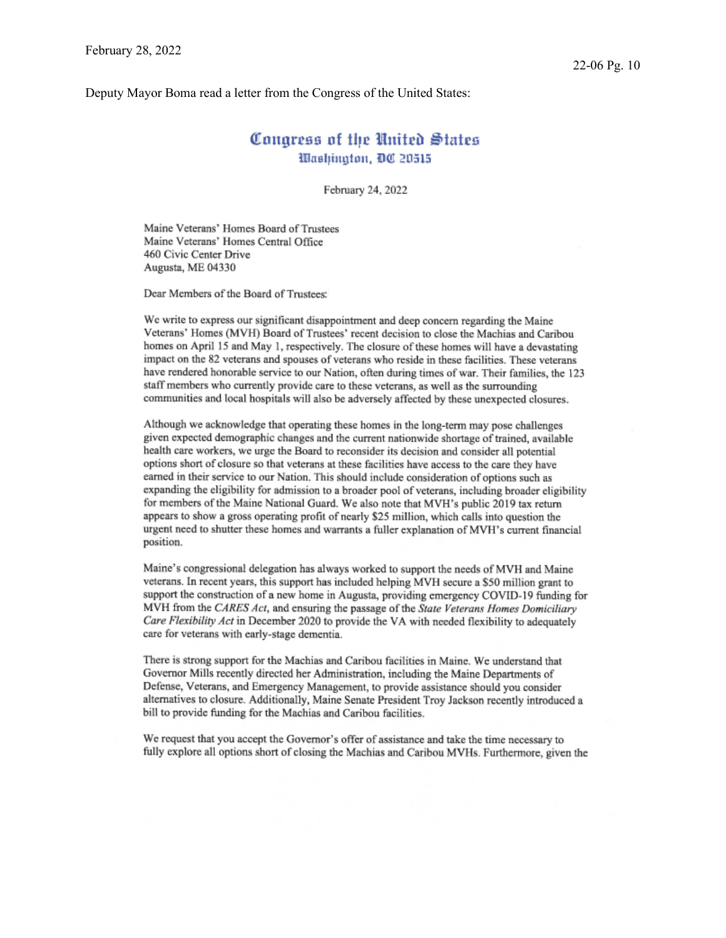Deputy Mayor Boma read a letter from the Congress of the United States:

# Congress of the United States Washington, DC 20515

February 24, 2022

Maine Veterans' Homes Board of Trustees Maine Veterans' Homes Central Office 460 Civic Center Drive Augusta, ME 04330

Dear Members of the Board of Trustees:

We write to express our significant disappointment and deep concern regarding the Maine Veterans' Homes (MVH) Board of Trustees' recent decision to close the Machias and Caribou homes on April 15 and May 1, respectively. The closure of these homes will have a devastating impact on the 82 veterans and spouses of veterans who reside in these facilities. These veterans have rendered honorable service to our Nation, often during times of war. Their families, the 123 staff members who currently provide care to these veterans, as well as the surrounding communities and local hospitals will also be adversely affected by these unexpected closures.

Although we acknowledge that operating these homes in the long-term may pose challenges given expected demographic changes and the current nationwide shortage of trained, available health care workers, we urge the Board to reconsider its decision and consider all potential options short of closure so that veterans at these facilities have access to the care they have earned in their service to our Nation. This should include consideration of options such as expanding the eligibility for admission to a broader pool of veterans, including broader eligibility for members of the Maine National Guard. We also note that MVH's public 2019 tax return appears to show a gross operating profit of nearly \$25 million, which calls into question the urgent need to shutter these homes and warrants a fuller explanation of MVH's current financial position.

Maine's congressional delegation has always worked to support the needs of MVH and Maine veterans. In recent years, this support has included helping MVH secure a \$50 million grant to support the construction of a new home in Augusta, providing emergency COVID-19 funding for MVH from the CARES Act, and ensuring the passage of the State Veterans Homes Domiciliary Care Flexibility Act in December 2020 to provide the VA with needed flexibility to adequately care for veterans with early-stage dementia.

There is strong support for the Machias and Caribou facilities in Maine. We understand that Governor Mills recently directed her Administration, including the Maine Departments of Defense, Veterans, and Emergency Management, to provide assistance should you consider alternatives to closure. Additionally, Maine Senate President Troy Jackson recently introduced a bill to provide funding for the Machias and Caribou facilities.

We request that you accept the Governor's offer of assistance and take the time necessary to fully explore all options short of closing the Machias and Caribou MVHs. Furthermore, given the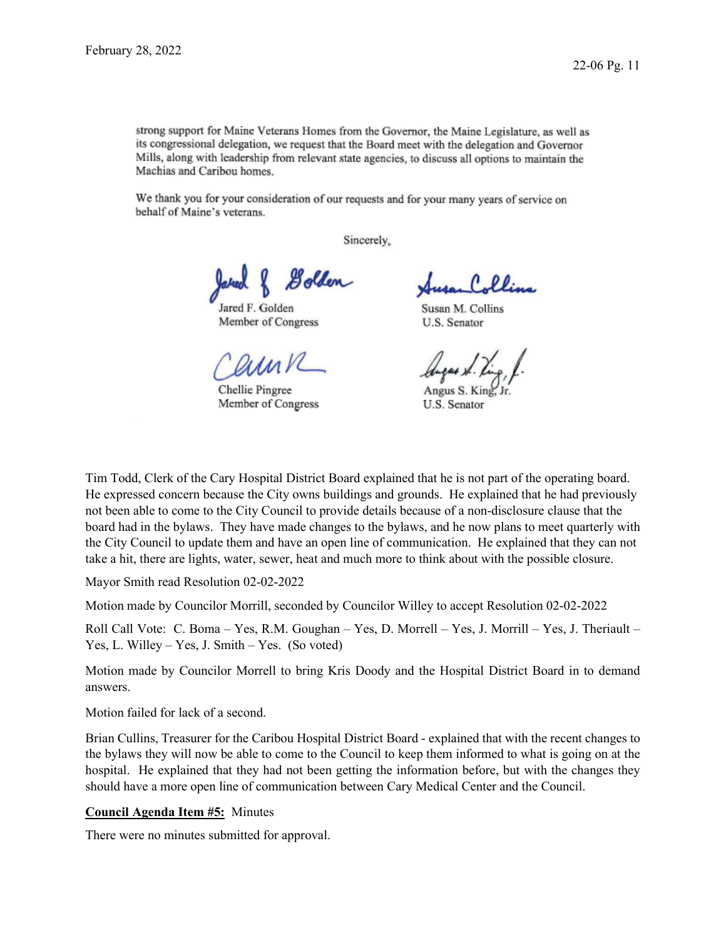strong support for Maine Veterans Homes from the Governor, the Maine Legislature, as well as its congressional delegation, we request that the Board meet with the delegation and Governor Mills, along with leadership from relevant state agencies, to discuss all options to maintain the Machias and Caribou homes.

We thank you for your consideration of our requests and for your many years of service on behalf of Maine's veterans.

Sincerely,

*& olden* 

Jared F. Golden Member of Congress

Chellie Pingree Member of Congress

Susan M. Collins U.S. Senator

Angus S. King U.S. Senator

Tim Todd, Clerk of the Cary Hospital District Board explained that he is not part of the operating board. He expressed concern because the City owns buildings and grounds. He explained that he had previously not been able to come to the City Council to provide details because of a non-disclosure clause that the board had in the bylaws. They have made changes to the bylaws, and he now plans to meet quarterly with the City Council to update them and have an open line of communication. He explained that they can not take a hit, there are lights, water, sewer, heat and much more to think about with the possible closure.

Mayor Smith read Resolution 02-02-2022

Motion made by Councilor Morrill, seconded by Councilor Willey to accept Resolution 02-02-2022

Roll Call Vote: C. Boma – Yes, R.M. Goughan – Yes, D. Morrell – Yes, J. Morrill – Yes, J. Theriault – Yes, L. Willey – Yes, J. Smith – Yes. (So voted)

Motion made by Councilor Morrell to bring Kris Doody and the Hospital District Board in to demand answers.

Motion failed for lack of a second.

Brian Cullins, Treasurer for the Caribou Hospital District Board - explained that with the recent changes to the bylaws they will now be able to come to the Council to keep them informed to what is going on at the hospital. He explained that they had not been getting the information before, but with the changes they should have a more open line of communication between Cary Medical Center and the Council.

#### **Council Agenda Item #5:** Minutes

There were no minutes submitted for approval.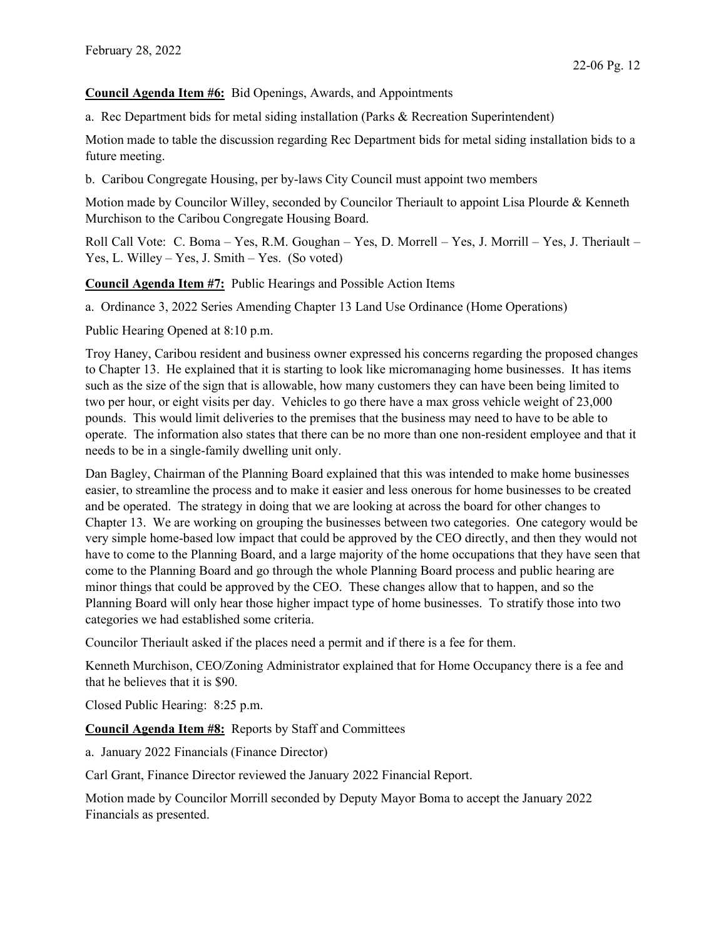### **Council Agenda Item #6:** Bid Openings, Awards, and Appointments

a. Rec Department bids for metal siding installation (Parks & Recreation Superintendent)

Motion made to table the discussion regarding Rec Department bids for metal siding installation bids to a future meeting.

b. Caribou Congregate Housing, per by-laws City Council must appoint two members

Motion made by Councilor Willey, seconded by Councilor Theriault to appoint Lisa Plourde & Kenneth Murchison to the Caribou Congregate Housing Board.

Roll Call Vote: C. Boma – Yes, R.M. Goughan – Yes, D. Morrell – Yes, J. Morrill – Yes, J. Theriault – Yes, L. Willey – Yes, J. Smith – Yes. (So voted)

**Council Agenda Item #7:** Public Hearings and Possible Action Items

a. Ordinance 3, 2022 Series Amending Chapter 13 Land Use Ordinance (Home Operations)

Public Hearing Opened at 8:10 p.m.

Troy Haney, Caribou resident and business owner expressed his concerns regarding the proposed changes to Chapter 13. He explained that it is starting to look like micromanaging home businesses. It has items such as the size of the sign that is allowable, how many customers they can have been being limited to two per hour, or eight visits per day. Vehicles to go there have a max gross vehicle weight of 23,000 pounds. This would limit deliveries to the premises that the business may need to have to be able to operate. The information also states that there can be no more than one non-resident employee and that it needs to be in a single-family dwelling unit only.

Dan Bagley, Chairman of the Planning Board explained that this was intended to make home businesses easier, to streamline the process and to make it easier and less onerous for home businesses to be created and be operated. The strategy in doing that we are looking at across the board for other changes to Chapter 13. We are working on grouping the businesses between two categories. One category would be very simple home-based low impact that could be approved by the CEO directly, and then they would not have to come to the Planning Board, and a large majority of the home occupations that they have seen that come to the Planning Board and go through the whole Planning Board process and public hearing are minor things that could be approved by the CEO. These changes allow that to happen, and so the Planning Board will only hear those higher impact type of home businesses. To stratify those into two categories we had established some criteria.

Councilor Theriault asked if the places need a permit and if there is a fee for them.

Kenneth Murchison, CEO/Zoning Administrator explained that for Home Occupancy there is a fee and that he believes that it is \$90.

Closed Public Hearing: 8:25 p.m.

**Council Agenda Item #8:** Reports by Staff and Committees

a. January 2022 Financials (Finance Director)

Carl Grant, Finance Director reviewed the January 2022 Financial Report.

Motion made by Councilor Morrill seconded by Deputy Mayor Boma to accept the January 2022 Financials as presented.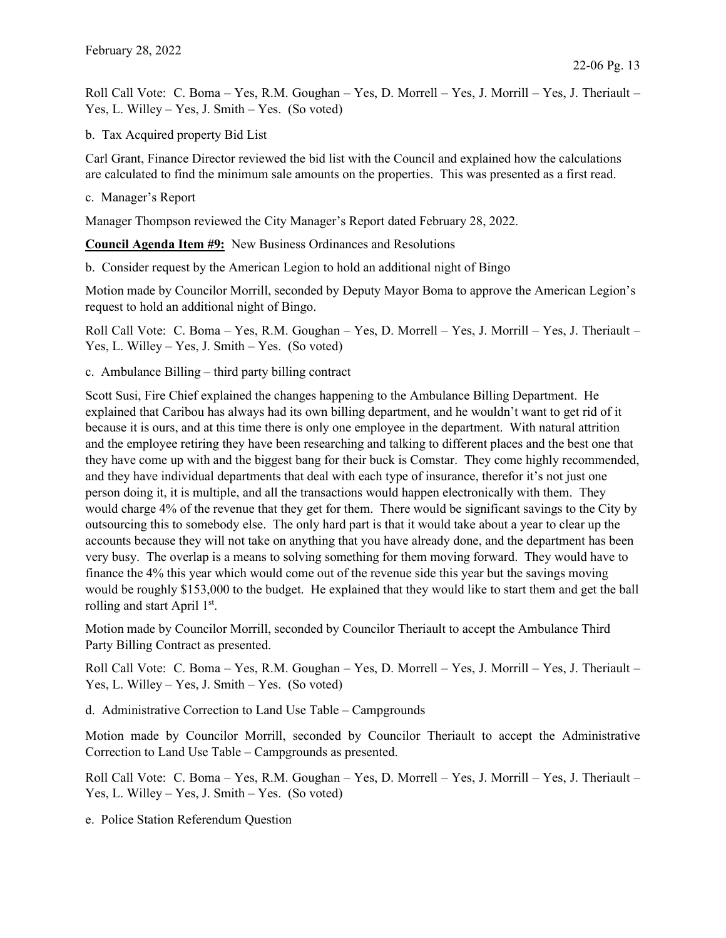Roll Call Vote: C. Boma – Yes, R.M. Goughan – Yes, D. Morrell – Yes, J. Morrill – Yes, J. Theriault – Yes, L. Willey – Yes, J. Smith – Yes. (So voted)

b. Tax Acquired property Bid List

Carl Grant, Finance Director reviewed the bid list with the Council and explained how the calculations are calculated to find the minimum sale amounts on the properties. This was presented as a first read.

### c. Manager's Report

Manager Thompson reviewed the City Manager's Report dated February 28, 2022.

**Council Agenda Item #9:** New Business Ordinances and Resolutions

b. Consider request by the American Legion to hold an additional night of Bingo

Motion made by Councilor Morrill, seconded by Deputy Mayor Boma to approve the American Legion's request to hold an additional night of Bingo.

Roll Call Vote: C. Boma – Yes, R.M. Goughan – Yes, D. Morrell – Yes, J. Morrill – Yes, J. Theriault – Yes, L. Willey – Yes, J. Smith – Yes. (So voted)

c. Ambulance Billing – third party billing contract

Scott Susi, Fire Chief explained the changes happening to the Ambulance Billing Department. He explained that Caribou has always had its own billing department, and he wouldn't want to get rid of it because it is ours, and at this time there is only one employee in the department. With natural attrition and the employee retiring they have been researching and talking to different places and the best one that they have come up with and the biggest bang for their buck is Comstar. They come highly recommended, and they have individual departments that deal with each type of insurance, therefor it's not just one person doing it, it is multiple, and all the transactions would happen electronically with them. They would charge 4% of the revenue that they get for them. There would be significant savings to the City by outsourcing this to somebody else. The only hard part is that it would take about a year to clear up the accounts because they will not take on anything that you have already done, and the department has been very busy. The overlap is a means to solving something for them moving forward. They would have to finance the 4% this year which would come out of the revenue side this year but the savings moving would be roughly \$153,000 to the budget. He explained that they would like to start them and get the ball rolling and start April 1st.

Motion made by Councilor Morrill, seconded by Councilor Theriault to accept the Ambulance Third Party Billing Contract as presented.

Roll Call Vote: C. Boma – Yes, R.M. Goughan – Yes, D. Morrell – Yes, J. Morrill – Yes, J. Theriault – Yes, L. Willey – Yes, J. Smith – Yes. (So voted)

d. Administrative Correction to Land Use Table – Campgrounds

Motion made by Councilor Morrill, seconded by Councilor Theriault to accept the Administrative Correction to Land Use Table – Campgrounds as presented.

Roll Call Vote: C. Boma – Yes, R.M. Goughan – Yes, D. Morrell – Yes, J. Morrill – Yes, J. Theriault – Yes, L. Willey – Yes, J. Smith – Yes. (So voted)

e. Police Station Referendum Question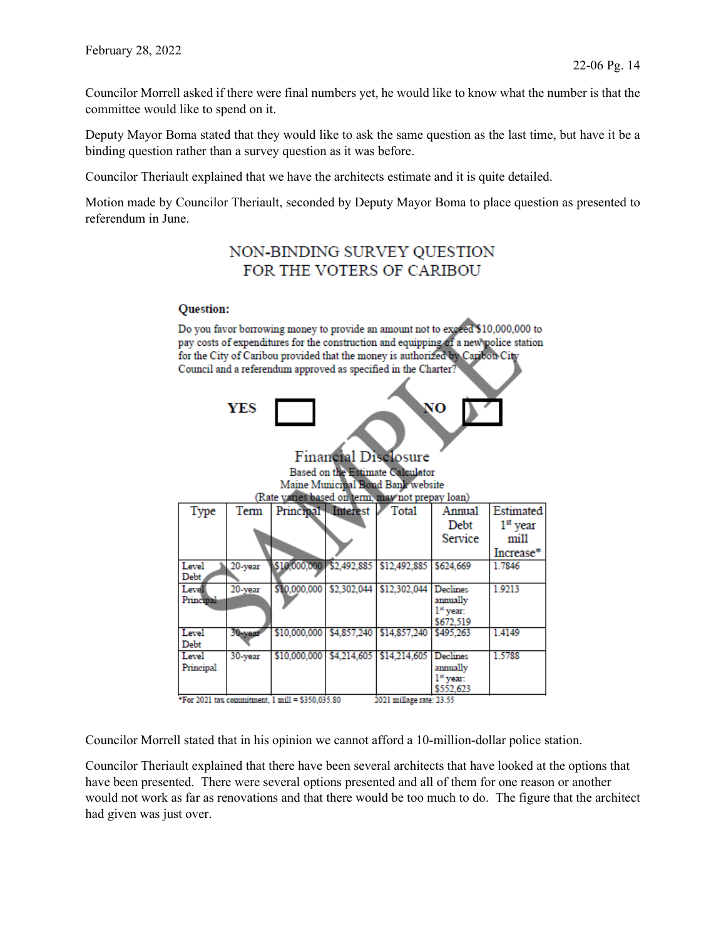Councilor Morrell asked if there were final numbers yet, he would like to know what the number is that the committee would like to spend on it.

Deputy Mayor Boma stated that they would like to ask the same question as the last time, but have it be a binding question rather than a survey question as it was before.

Councilor Theriault explained that we have the architects estimate and it is quite detailed.

Motion made by Councilor Theriault, seconded by Deputy Mayor Boma to place question as presented to referendum in June.

# NON-BINDING SURVEY QUESTION FOR THE VOTERS OF CARIBOU

#### **Question:**

Do you favor borrowing money to provide an amount not to exceed \$10,000,000 to pay costs of expenditures for the construction and equipping of a new police station for the City of Caribou provided that the money is authorized by Caribou City Council and a referendum approved as specified in the Charter? YES NО **Financial Disclosure Based on the Estimate Calculator** Maine Municipal Bond Bank website (Rate varies based on term, may not prepay loan) Interest D Estimated Term Principal-**Total** Annual Type Debt  $1<sup>st</sup>$  year Service mill Increase\* 20-year \$10,000,000 \$2,492,885 \$12,492,885 \$624,669 1.7846 Level Debt 20-year \$10,000,000 \$2,302,044 \$12,302,044 Declines Level 1.9213 Princip annually 1<sup>st</sup> year: \$672,519 Level 30-yea \$10,000,000 \$4,857,240 1.4149 \$14,857,240 \$495,263 Debt Level 30-year \$10,000,000 \$4,214,605 \$14,214,605 Declines 1.5788 Principal annually l<sup>st</sup> year: \$552,623

\*For 2021 tax commitment, 1 mill = \$350,035.80 2021 millage rate: 23.55

Councilor Morrell stated that in his opinion we cannot afford a 10-million-dollar police station.

Councilor Theriault explained that there have been several architects that have looked at the options that have been presented. There were several options presented and all of them for one reason or another would not work as far as renovations and that there would be too much to do. The figure that the architect had given was just over.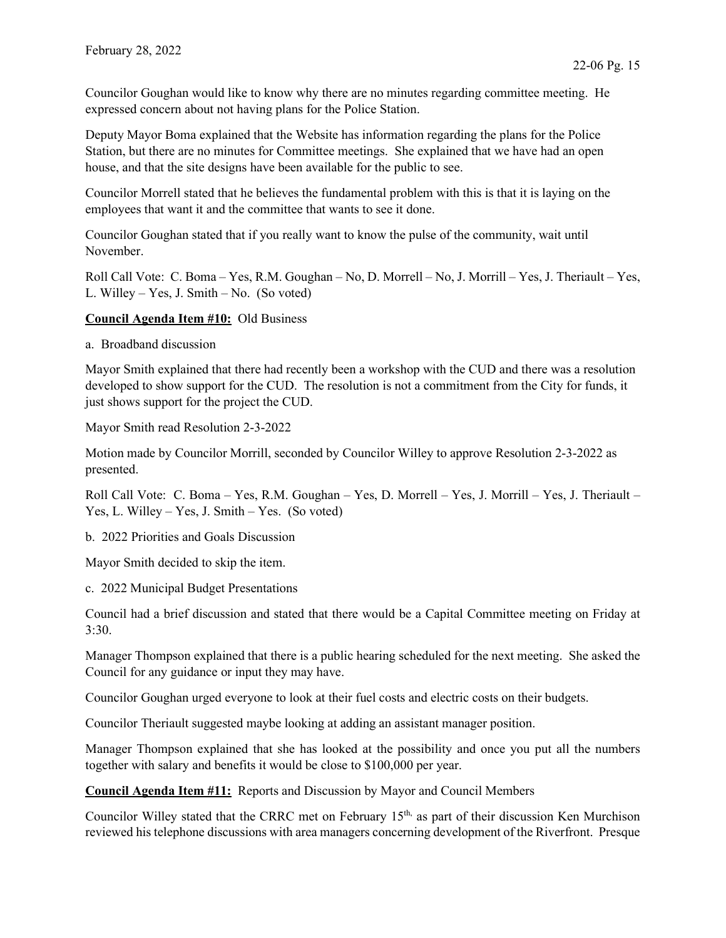Councilor Goughan would like to know why there are no minutes regarding committee meeting. He expressed concern about not having plans for the Police Station.

Deputy Mayor Boma explained that the Website has information regarding the plans for the Police Station, but there are no minutes for Committee meetings. She explained that we have had an open house, and that the site designs have been available for the public to see.

Councilor Morrell stated that he believes the fundamental problem with this is that it is laying on the employees that want it and the committee that wants to see it done.

Councilor Goughan stated that if you really want to know the pulse of the community, wait until November.

Roll Call Vote: C. Boma – Yes, R.M. Goughan – No, D. Morrell – No, J. Morrill – Yes, J. Theriault – Yes, L. Willey – Yes, J. Smith – No. (So voted)

#### **Council Agenda Item #10:** Old Business

a. Broadband discussion

Mayor Smith explained that there had recently been a workshop with the CUD and there was a resolution developed to show support for the CUD. The resolution is not a commitment from the City for funds, it just shows support for the project the CUD.

Mayor Smith read Resolution 2-3-2022

Motion made by Councilor Morrill, seconded by Councilor Willey to approve Resolution 2-3-2022 as presented.

Roll Call Vote: C. Boma – Yes, R.M. Goughan – Yes, D. Morrell – Yes, J. Morrill – Yes, J. Theriault – Yes, L. Willey – Yes, J. Smith – Yes. (So voted)

b. 2022 Priorities and Goals Discussion

Mayor Smith decided to skip the item.

c. 2022 Municipal Budget Presentations

Council had a brief discussion and stated that there would be a Capital Committee meeting on Friday at 3:30.

Manager Thompson explained that there is a public hearing scheduled for the next meeting. She asked the Council for any guidance or input they may have.

Councilor Goughan urged everyone to look at their fuel costs and electric costs on their budgets.

Councilor Theriault suggested maybe looking at adding an assistant manager position.

Manager Thompson explained that she has looked at the possibility and once you put all the numbers together with salary and benefits it would be close to \$100,000 per year.

**Council Agenda Item #11:** Reports and Discussion by Mayor and Council Members

Councilor Willey stated that the CRRC met on February 15<sup>th,</sup> as part of their discussion Ken Murchison reviewed his telephone discussions with area managers concerning development of the Riverfront. Presque